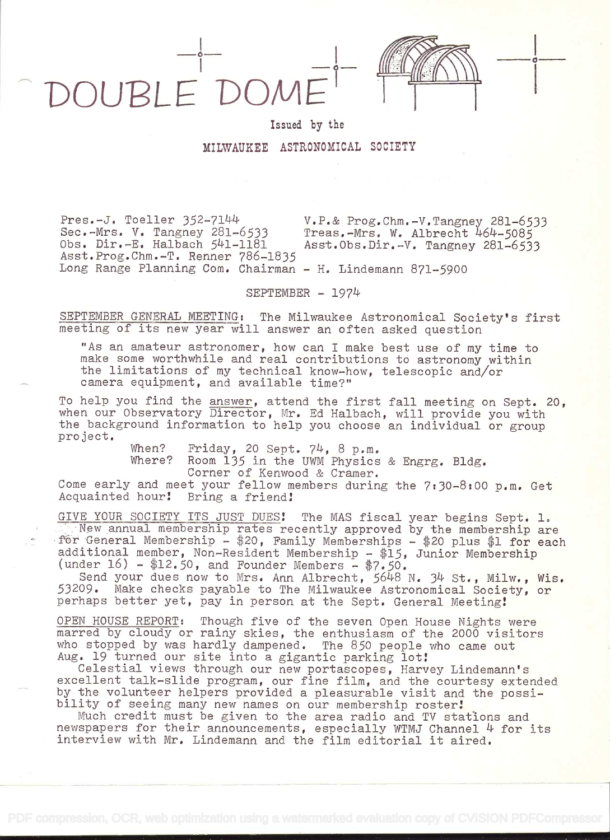DOUBLE DOM

in the contract of the contract of the contract of the contract of the contract of the contract of the contract of the contract of the contract of the contract of the contract of the contract of the contract of the contrac

## MILWAUKEE ASTRONOMICAL SOCIETY

Issued by the

Pres.-J. Toeller 352-7144 v.P.& Prog.Chm.-V.Tangney 281-6533<br>Sec.-Mrs. V. Tangney 281-6533 Treas.-Mrs. W. Albrecht 464-5085 Sec.-Mrs. V. Tangney 281-6533 Treas.-Mrs. W. Albrecht 464-5085<br>Obs. Dir.-E. Halbach 541-1181 Asst.Obs.Dir.-V. Tangney 281-653 Asst.Obs.Dir.-V. Tangney 281-6533 Asst.Prog.Chm.-T. Renner 786-1835 Long Range Planning Com. Chairman - H. Lindemann 871-5900

SEPTEMBER - 1974

SEPTEMBER GENERAL MEETING: The Milwaukee Astronomical Society's first meeting of its new year will answer an often asked question

"As an amateur astronomer, how can I make best use of my time to make some worthwhile and real contributions to astronomy within the limitations of my technical know-how, telescopic and/or camera equipment, and available time?"

To help you find the answer, attend the first fall meeting on Sept. 20, when our Observatory Director, Mr. Ed Halbach, will provide you with the background information to help you choose an individual or group project.

When? Friday, 20 Sept. 74, 8 p.m.<br>Where? Room 135 in the UWM Physics

Room 135 in the UWM Physics & Engrg. Bldg. Corner of Kenwood & Cramer.

Come early and meet your fellow members during the 7:30-8:00 p.m. Get<br>Acquainted hour! Bring a friend! Acquainted hour!

GIVE YOUR SOCIETY ITS JUST DUES! The MAS fiscal year begins Sept. 1. New annual membership rates recently approved by the membership are for General Membership -  $$20$ , Family Memberships -  $$20$  plus  $$1$  for each additional member, Non-Resident Membership - \$15, Junior Membership (under  $16$ ) - \$12.50, and Founder Members - \$7.50.

Send your dues now to Mrs. Ann Albrecht, 5648 N. 34 St., Milw., Wis. 53209. Make checks payable to The Milwaukee Astronomical Society, or perhaps better yet, pay in person at the Sept. General Meeting!

OPEN HOUSE REPORT: Though five of the seven Open House Nights were marred by cloudy or rainy skies, the enthusiasm of the 2000 visitors who stopped by was hardly dampened. The 850 people who came out Aug. 19 turned our site into a gigantic parking lot!

Celestial views through our new portascopes, Harvey Lindemann's excellent talk-slide program, our fine film, and the courtesy extended by the volunteer helpers provided a pleasurable visit and the possibility of seeing many new names on our membership roster!

Much credit must be given to the area radio and TV stations and newspapers for their announcements, especially WTMJ Channel 4 for its interview with Mr. Lindemann and the film editorial it aired.